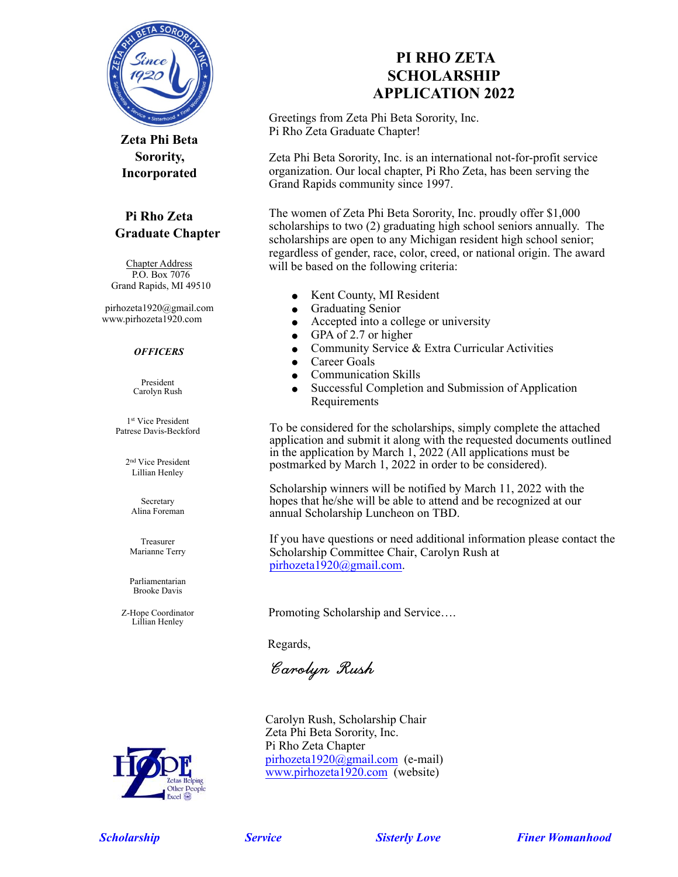

**Zeta Phi Beta Sorority, Incorporated** 

## **Pi Rho Zeta Graduate Chapter**

Chapter Address P.O. Box 7076 Grand Rapids, MI 49510

pirhozeta1920@gmail.com www.pirhozeta1920.com

#### *OFFICERS*

President Carolyn Rush

1 st Vice President Patrese Davis-Beckford

> 2nd Vice President Lillian Henley

**Secretary** Alina Foreman

Treasurer Marianne Terry

Parliamentarian Brooke Davis

Z-Hope Coordinator Lillian Henley



# **PI RHO ZETA SCHOLARSHIP APPLICATION 2022**

Greetings from Zeta Phi Beta Sorority, Inc. Pi Rho Zeta Graduate Chapter!

Zeta Phi Beta Sorority, Inc. is an international not-for-profit service organization. Our local chapter, Pi Rho Zeta, has been serving the Grand Rapids community since 1997.

The women of Zeta Phi Beta Sorority, Inc. proudly offer \$1,000 scholarships to two (2) graduating high school seniors annually. The scholarships are open to any Michigan resident high school senior; regardless of gender, race, color, creed, or national origin. The award will be based on the following criteria:

- Kent County, MI Resident
- Graduating Senior
- Accepted into a college or university
- GPA of 2.7 or higher
- $\bullet$  Community Service & Extra Curricular Activities
- Career Goals
- Communication Skills
- ! Successful Completion and Submission of Application Requirements

To be considered for the scholarships, simply complete the attached application and submit it along with the requested documents outlined in the application by March 1, 2022 (All applications must be postmarked by March 1, 2022 in order to be considered).

Scholarship winners will be notified by March 11, 2022 with the hopes that he/she will be able to attend and be recognized at our annual Scholarship Luncheon on TBD.

If you have questions or need additional information please contact the Scholarship Committee Chair, Carolyn Rush at pirhozeta1920@gmail.com.

Promoting Scholarship and Service….

Regards,

Carolyn Rush

Carolyn Rush, Scholarship Chair Zeta Phi Beta Sorority, Inc. Pi Rho Zeta Chapter pirhozeta1920@gmail.com (e-mail) www.pirhozeta1920.com (website)



*Scholarship Service Sisterly Love Finer Womanhood*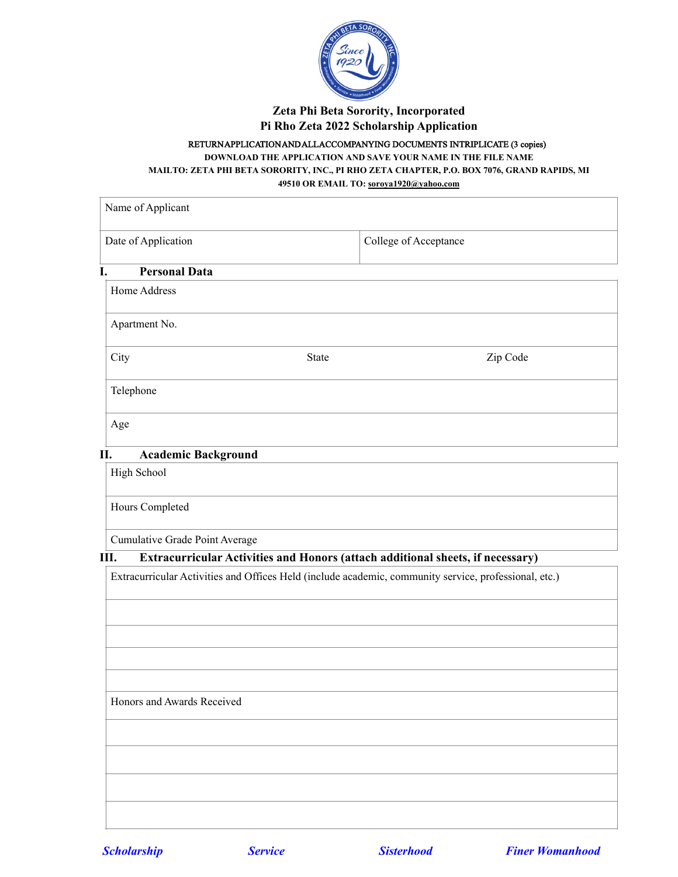

## **Zeta Phi Beta Sorority, Incorporated Pi Rho Zeta 2022 Scholarship Application**

#### RETURN APPLICATION AND ALL ACCOMPANYING DOCUMENTS INTRIPLICATE (3 copies) **DOWNLOAD THE APPLICATION AND SAVE YOUR NAME IN THE FILE NAME MAILTO: ZETA PHI BETA SORORITY, INC., PI RHO ZETA CHAPTER, P.O. BOX 7076, GRAND RAPIDS, MI**

**49510 OR EMAIL TO: soroya1920@yahoo.com**

| Name of Applicant                                                                                     |       |                       |  |  |  |
|-------------------------------------------------------------------------------------------------------|-------|-----------------------|--|--|--|
| Date of Application                                                                                   |       | College of Acceptance |  |  |  |
| <b>Personal Data</b><br>I.                                                                            |       |                       |  |  |  |
| Home Address                                                                                          |       |                       |  |  |  |
| Apartment No.                                                                                         |       |                       |  |  |  |
| City                                                                                                  | State | Zip Code              |  |  |  |
| Telephone                                                                                             |       |                       |  |  |  |
| Age                                                                                                   |       |                       |  |  |  |
| <b>Academic Background</b><br>П.                                                                      |       |                       |  |  |  |
| High School                                                                                           |       |                       |  |  |  |
| Hours Completed                                                                                       |       |                       |  |  |  |
| Cumulative Grade Point Average                                                                        |       |                       |  |  |  |
| Extracurricular Activities and Honors (attach additional sheets, if necessary)<br>Ш.                  |       |                       |  |  |  |
| Extracurricular Activities and Offices Held (include academic, community service, professional, etc.) |       |                       |  |  |  |
|                                                                                                       |       |                       |  |  |  |
|                                                                                                       |       |                       |  |  |  |
|                                                                                                       |       |                       |  |  |  |
| Honors and Awards Received                                                                            |       |                       |  |  |  |
|                                                                                                       |       |                       |  |  |  |
|                                                                                                       |       |                       |  |  |  |
|                                                                                                       |       |                       |  |  |  |
|                                                                                                       |       |                       |  |  |  |